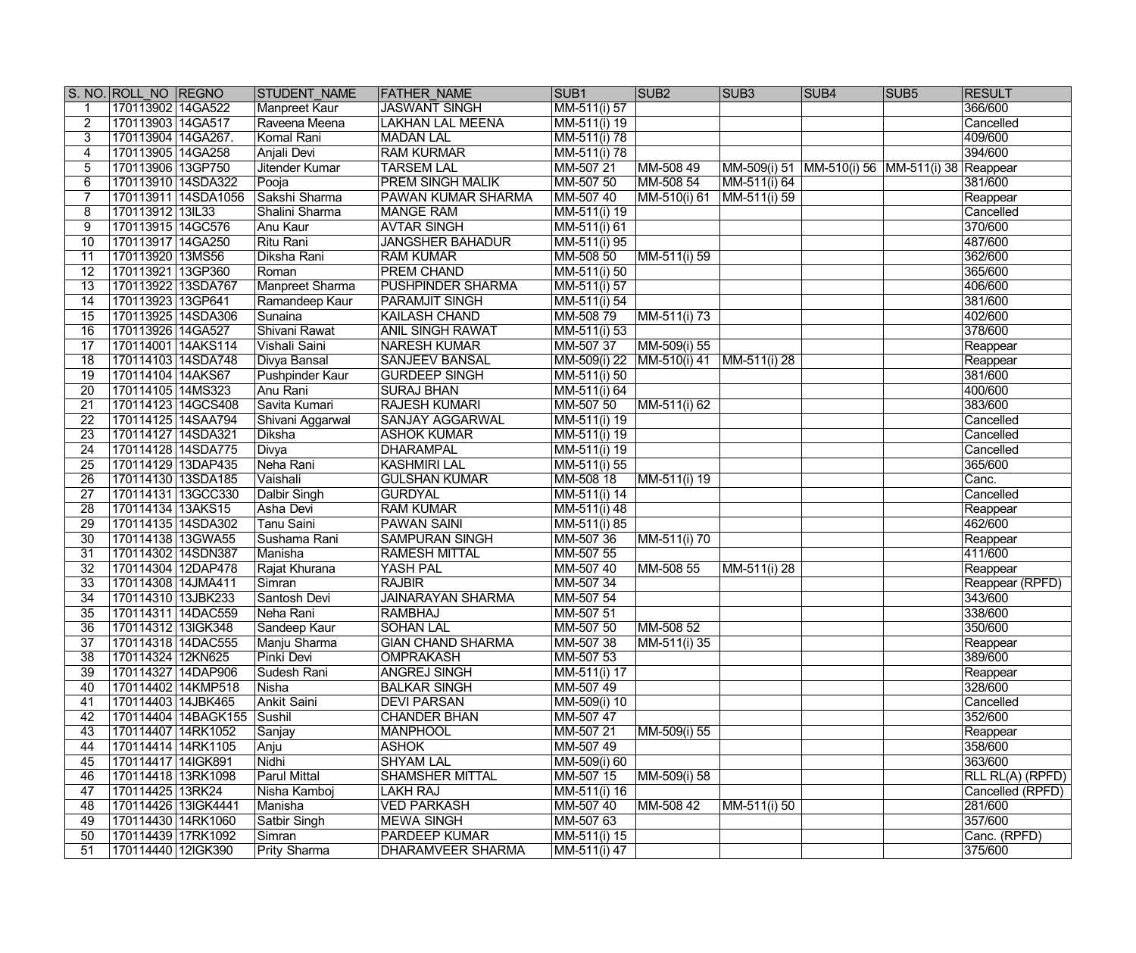|                 | S. NO. ROLL NO REGNO |                     | <b>STUDENT NAME</b> | <b>FATHER NAME</b>       | SUB <sub>1</sub>                 | SUB <sub>2</sub>          | SUB <sub>3</sub>                                      | <b>SUB4</b> | SUB <sub>5</sub> | <b>RESULT</b>    |
|-----------------|----------------------|---------------------|---------------------|--------------------------|----------------------------------|---------------------------|-------------------------------------------------------|-------------|------------------|------------------|
|                 | 170113902 14GA522    |                     | Manpreet Kaur       | <b>JASWANT SINGH</b>     | $\overline{\text{MM-511(i)}}$ 57 |                           |                                                       |             |                  | 366/600          |
| $\overline{2}$  | 170113903 14GA517    |                     | Raveena Meena       | <b>LAKHAN LAL MEENA</b>  | MM-511(i) 19                     |                           |                                                       |             |                  | Cancelled        |
| 3               | 170113904 14GA267.   |                     | Komal Rani          | <b>MADAN LAL</b>         | MM-511(i) 78                     |                           |                                                       |             |                  | 409/600          |
| 4               | 170113905 14GA258    |                     | Anjali Devi         | <b>RAM KURMAR</b>        | MM-511(i) 78                     |                           |                                                       |             |                  | 394/600          |
| 5               | 170113906 13GP750    |                     | Jitender Kumar      | <b>TARSEM LAL</b>        | MM-507 21                        | MM-508 49                 | MM-509(i) 51   MM-510(i) 56   MM-511(i) 38   Reappear |             |                  |                  |
| 6               | 170113910 14SDA322   |                     | Pooja               | <b>PREM SINGH MALIK</b>  | MM-507 50                        | MM-508 54                 | MM-511(i) 64                                          |             |                  | 381/600          |
|                 |                      | 170113911 14SDA1056 | Sakshi Sharma       | PAWAN KUMAR SHARMA       | MM-507 40                        | MM-510(i) 61              | MM-511(i) 59                                          |             |                  | Reappear         |
| 8               | 170113912 13IL33     |                     | Shalini Sharma      | <b>MANGE RAM</b>         | MM-511(i) 19                     |                           |                                                       |             |                  | Cancelled        |
| 9               | 170113915 14GC576    |                     | Anu Kaur            | <b>AVTAR SINGH</b>       | MM-511(i) 61                     |                           |                                                       |             |                  | 370/600          |
| 10              | 170113917 14GA250    |                     | Ritu Rani           | <b>JANGSHER BAHADUR</b>  | MM-511(i) 95                     |                           |                                                       |             |                  | 487/600          |
| 11              | 170113920 13MS56     |                     | Diksha Rani         | <b>RAM KUMAR</b>         | MM-508 50                        | MM-511(i) 59              |                                                       |             |                  | 362/600          |
| $\overline{12}$ | 170113921 13GP360    |                     | Roman               | <b>PREM CHAND</b>        | MM-511(i) 50                     |                           |                                                       |             |                  | 365/600          |
| $\overline{13}$ | 170113922 13SDA767   |                     | Manpreet Sharma     | <b>PUSHPINDER SHARMA</b> | MM-511(i) 57                     |                           |                                                       |             |                  | 406/600          |
| 14              | 170113923 13GP641    |                     | Ramandeep Kaur      | <b>PARAMJIT SINGH</b>    | MM-511(i) 54                     |                           |                                                       |             |                  | 381/600          |
| 15              | 170113925 14SDA306   |                     | Sunaina             | <b>KAILASH CHAND</b>     | MM-508 79                        | MM-511(i) 73              |                                                       |             |                  | 402/600          |
| $\overline{16}$ | 170113926 14GA527    |                     | Shivani Rawat       | <b>ANIL SINGH RAWAT</b>  | MM-511(i) 53                     |                           |                                                       |             |                  | 378/600          |
| 17              | 170114001 14AKS114   |                     | Vishali Saini       | <b>NARESH KUMAR</b>      | MM-507 37                        | MM-509(i) 55              |                                                       |             |                  | Reappear         |
| 18              | 170114103 14SDA748   |                     | Divya Bansal        | <b>SANJEEV BANSAL</b>    | MM-509(i) 22                     | MM-510(i) 41              | MM-511(i) 28                                          |             |                  | Reappear         |
| 19              | 170114104 14AKS67    |                     | Pushpinder Kaur     | <b>GURDEEP SINGH</b>     | MM-511(i) 50                     |                           |                                                       |             |                  | 381/600          |
| $\overline{20}$ | 170114105 14MS323    |                     | Anu Rani            | <b>SURAJ BHAN</b>        | MM-511(i) 64                     |                           |                                                       |             |                  | 400/600          |
| 21              | 170114123 14GCS408   |                     | Savita Kumari       | <b>RAJESH KUMARI</b>     | MM-507 50                        | $\overline{MM-51}1(i) 62$ |                                                       |             |                  | 383/600          |
| $\overline{22}$ | 170114125 14SAA794   |                     | Shivani Aggarwal    | SANJAY AGGARWAL          | $\overline{MM-511(i)}$ 19        |                           |                                                       |             |                  | Cancelled        |
| 23              | 170114127 14SDA321   |                     | Diksha              | <b>ASHOK KUMAR</b>       | MM-511(i) 19                     |                           |                                                       |             |                  | Cancelled        |
| $\overline{24}$ | 170114128 14SDA775   |                     | Divya               | <b>DHARAMPAL</b>         | $\overline{MM-51}1(i) 19$        |                           |                                                       |             |                  | Cancelled        |
| 25              | 170114129 13DAP435   |                     | Neha Rani           | <b>KASHMIRI LAL</b>      |                                  |                           |                                                       |             |                  | 365/600          |
| $\overline{26}$ |                      |                     | Vaishali            | <b>GULSHAN KUMAR</b>     | MM-511(i) 55                     |                           |                                                       |             |                  | Canc.            |
| $\overline{27}$ | 170114130 13SDA185   |                     |                     |                          | MM-508 18                        | MM-511(i) 19              |                                                       |             |                  |                  |
| $\overline{28}$ | 170114131 13GCC330   |                     | Dalbir Singh        | <b>GURDYAL</b>           | MM-511(i) 14                     |                           |                                                       |             |                  | Cancelled        |
|                 | 170114134 13AKS15    |                     | Asha Devi           | <b>RAM KUMAR</b>         | MM-511(i) 48                     |                           |                                                       |             |                  | Reappear         |
| $\overline{29}$ | 170114135 14SDA302   |                     | <b>Tanu Saini</b>   | <b>PAWAN SAINI</b>       | MM-511(i) 85                     |                           |                                                       |             |                  | 462/600          |
| $\overline{30}$ | 170114138 13GWA55    |                     | Sushama Rani        | <b>SAMPURAN SINGH</b>    | MM-507 36                        | MM-511(i) 70              |                                                       |             |                  | Reappear         |
| 31              | 170114302 14SDN387   |                     | Manisha             | <b>RAMESH MITTAL</b>     | MM-507 55                        |                           |                                                       |             |                  | 411/600          |
| $\overline{32}$ | 170114304 12DAP478   |                     | Rajat Khurana       | <b>YASH PAL</b>          | MM-507 40                        | MM-508 55                 | MM-511(i) 28                                          |             |                  | Reappear         |
| $\overline{33}$ | 170114308 14JMA411   |                     | Simran              | <b>RAJBIR</b>            | MM-507 34                        |                           |                                                       |             |                  | Reappear (RPFD)  |
| 34              | 170114310 13JBK233   |                     | Santosh Devi        | <b>JAINARAYAN SHARMA</b> | MM-507 54                        |                           |                                                       |             |                  | 343/600          |
| $\overline{35}$ | 170114311 14DAC559   |                     | Neha Rani           | <b>RAMBHAJ</b>           | MM-507 51                        |                           |                                                       |             |                  | 338/600          |
| $\overline{36}$ | 170114312 13IGK348   |                     | Sandeep Kaur        | <b>SOHAN LAL</b>         | MM-507 50                        | MM-508 52                 |                                                       |             |                  | 350/600          |
| 37              | 170114318 14DAC555   |                     | Manju Sharma        | <b>GIAN CHAND SHARMA</b> | MM-507 38                        | MM-511(i) 35              |                                                       |             |                  | Reappear         |
| 38              | 170114324 12KN625    |                     | Pinki Devi          | <b>OMPRAKASH</b>         | MM-507 53                        |                           |                                                       |             |                  | 389/600          |
| 39              | 170114327 14DAP906   |                     | Sudesh Rani         | <b>ANGREJ SINGH</b>      | MM-511(i) 17                     |                           |                                                       |             |                  | Reappear         |
| 40              | 170114402 14KMP518   |                     | Nisha               | <b>BALKAR SINGH</b>      | MM-507 49                        |                           |                                                       |             |                  | 328/600          |
| 41              | 170114403 14JBK465   |                     | Ankit Saini         | <b>DEVI PARSAN</b>       | MM-509(i) 10                     |                           |                                                       |             |                  | Cancelled        |
| 42              |                      | 170114404 14BAGK155 | Sushil              | <b>CHANDER BHAN</b>      | MM-507 47                        |                           |                                                       |             |                  | 352/600          |
| 43              | 170114407 14RK1052   |                     | Sanjay              | <b>MANPHOOL</b>          | MM-507 21                        | MM-509(i) 55              |                                                       |             |                  | Reappear         |
| 44              | 170114414 14RK1105   |                     | Anju                | <b>ASHOK</b>             | MM-507 49                        |                           |                                                       |             |                  | 358/600          |
| 45              | 170114417 14IGK891   |                     | Nidhi               | <b>SHYAM LAL</b>         | MM-509(i) 60                     |                           |                                                       |             |                  | 363/600          |
| 46              | 170114418 13RK1098   |                     | Parul Mittal        | <b>SHAMSHER MITTAL</b>   | MM-507 15                        | MM-509(i) 58              |                                                       |             |                  | RLL RL(A) (RPFD) |
| 47              | 170114425 13RK24     |                     | Nisha Kamboj        | <b>LAKH RAJ</b>          | MM-511(i) 16                     |                           |                                                       |             |                  | Cancelled (RPFD) |
| 48              | 170114426 13IGK4441  |                     | Manisha             | <b>VED PARKASH</b>       | MM-507 40                        | MM-508 42                 | MM-511(i) 50                                          |             |                  | 281/600          |
| 49              | 170114430 14RK1060   |                     | Satbir Singh        | <b>MEWA SINGH</b>        | MM-507 63                        |                           |                                                       |             |                  | 357/600          |
| 50              | 170114439 17RK1092   |                     | Simran              | PARDEEP KUMAR            | MM-511(i) 15                     |                           |                                                       |             |                  | Canc. (RPFD)     |
| 51              | 170114440 12IGK390   |                     | <b>Prity Sharma</b> | DHARAMVEER SHARMA        | MM-511(i) 47                     |                           |                                                       |             |                  | 375/600          |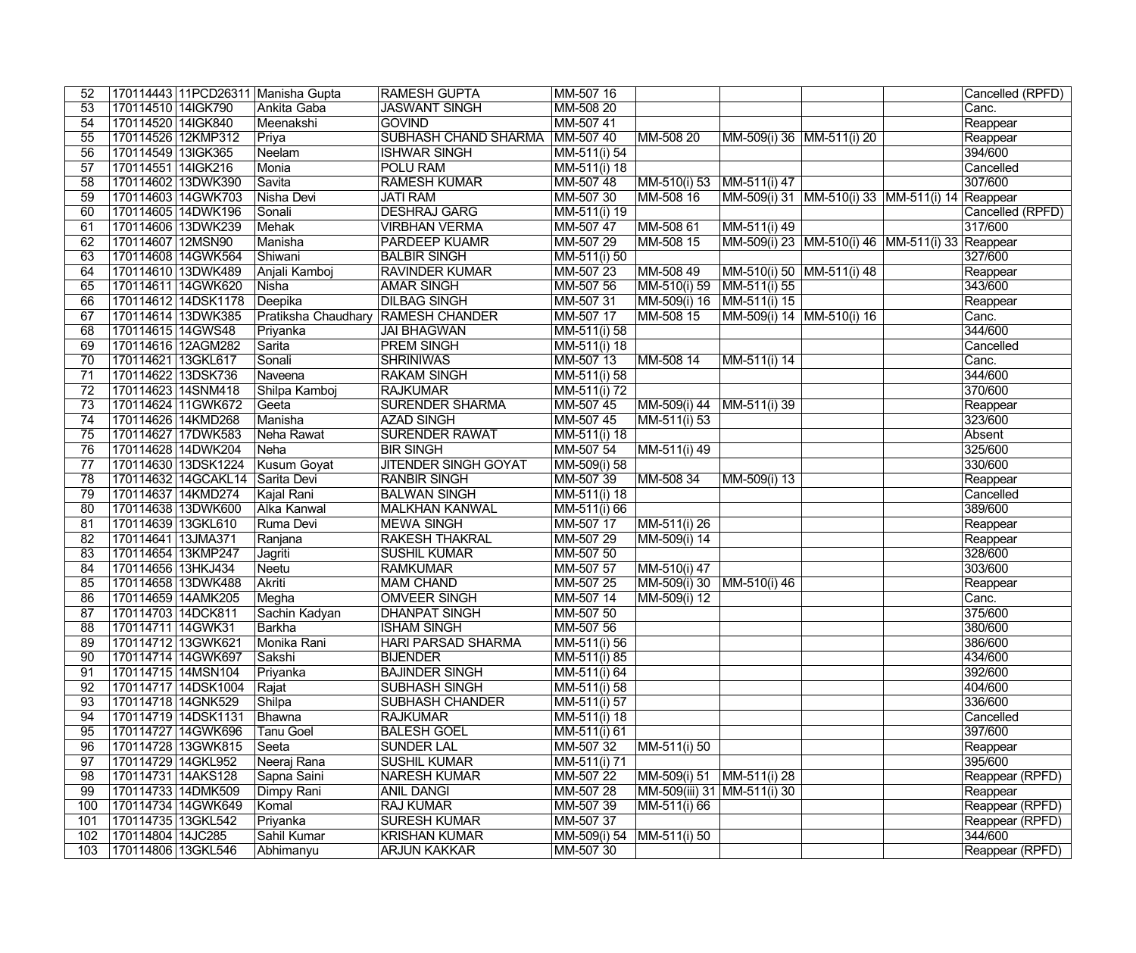| 52              |                                          |                     | 170114443 11PCD26311 Manisha Gupta | <b>RAMESH GUPTA</b>                 | MM-507 16                        |                              |                                                 |                                                 | Cancelled (RPFD)  |
|-----------------|------------------------------------------|---------------------|------------------------------------|-------------------------------------|----------------------------------|------------------------------|-------------------------------------------------|-------------------------------------------------|-------------------|
| 53              | 170114510 14IGK790                       |                     | Ankita Gaba                        | <b>JASWANT SINGH</b>                | MM-508 20                        |                              |                                                 |                                                 | Canc.             |
| 54              | 170114520 14IGK840                       |                     | Meenakshi                          | <b>GOVIND</b>                       | MM-507 41                        |                              |                                                 |                                                 | Reappear          |
| $\overline{55}$ | 170114526 12KMP312                       |                     | Priya                              | SUBHASH CHAND SHARMA                | MM-507 40                        | MM-508 20                    | MM-509(i) 36 MM-511(i) 20                       |                                                 | Reappear          |
| 56              | 170114549 13IGK365                       |                     | Neelam                             | <b>ISHWAR SINGH</b>                 | MM-511(i) 54                     |                              |                                                 |                                                 | 394/600           |
| $\overline{57}$ | 170114551 14IGK216                       |                     | Monia                              | POLU RAM                            | $MM-511(i)$ 18                   |                              |                                                 |                                                 | Cancelled         |
| 58              |                                          | 170114602 13DWK390  | Savita                             | <b>RAMESH KUMAR</b>                 | MM-507 48                        | MM-510(i) 53                 | MM-511(i) 47                                    |                                                 | 307/600           |
| 59              |                                          | 170114603 14GWK703  | Nisha Devi                         | <b>JATI RAM</b>                     | MM-507 30                        | MM-508 16                    | MM-509(i) 31 MM-510(i) 33 MM-511(i) 14 Reappear |                                                 |                   |
| 60              |                                          | 170114605 14DWK196  | Sonali                             | <b>DESHRAJ GARG</b>                 | MM-511(i) 19                     |                              |                                                 |                                                 | Cancelled (RPFD)  |
| 61              |                                          | 170114606 13DWK239  | Mehak                              | <b>VIRBHAN VERMA</b>                | MM-507 47                        | MM-508 61                    | MM-511(i) 49                                    |                                                 | 317/600           |
| 62              | 170114607 12MSN90                        |                     | Manisha                            | <b>PARDEEP KUAMR</b>                | MM-507 29                        | MM-508 15                    |                                                 | MM-509(i) 23 MM-510(i) 46 MM-511(i) 33 Reappear |                   |
| 63              |                                          | 170114608 14GWK564  | Shiwani                            | <b>BALBIR SINGH</b>                 | MM-511(i) 50                     |                              |                                                 |                                                 | 327/600           |
| 64              |                                          | 170114610 13DWK489  | Anjali Kamboj                      | <b>RAVINDER KUMAR</b>               | MM-507 23                        | MM-508 49                    | MM-510(i) 50 MM-511(i) 48                       |                                                 | Reappear          |
| 65              |                                          | 170114611 14GWK620  | Nisha                              | <b>AMAR SINGH</b>                   | MM-507 56                        | MM-510(i) 59                 | MM-511(i) 55                                    |                                                 | 343/600           |
| 66              |                                          | 170114612 14DSK1178 | Deepika                            | <b>DILBAG SINGH</b>                 | MM-507 31                        | MM-509(i) 16                 | MM-511(i) 15                                    |                                                 | Reappear          |
| 67              |                                          | 170114614 13DWK385  |                                    | Pratiksha Chaudhary RAMESH CHANDER  | MM-507 17                        | MM-508 15                    | MM-509(i) 14 MM-510(i) 16                       |                                                 | Canc.             |
| 68              | 170114615 14GWS48                        |                     | Priyanka                           | <b>JAI BHAGWAN</b>                  | MM-511(i) 58                     |                              |                                                 |                                                 | 344/600           |
| 69              | 170114616 12AGM282                       |                     | Sarita                             | <b>PREM SINGH</b>                   | MM-511(i) 18                     |                              |                                                 |                                                 | Cancelled         |
| 70              | 170114621 13GKL617                       |                     | Sonali                             | <b>SHRINIWAS</b>                    | MM-507 13                        | MM-508 14                    | MM-511(i) 14                                    |                                                 | Canc.             |
| 71              | 170114622 13DSK736                       |                     | Naveena                            | <b>RAKAM SINGH</b>                  | MM-511(i) 58                     |                              |                                                 |                                                 | 344/600           |
| $\overline{72}$ | 170114623 14SNM418                       |                     | Shilpa Kamboj                      | <b>RAJKUMAR</b>                     | MM-511(i) 72                     |                              |                                                 |                                                 | 370/600           |
| $\overline{73}$ |                                          | 170114624 11GWK672  | Geeta                              | <b>SURENDER SHARMA</b>              | MM-507 45                        | MM-509(i) 44                 | MM-511(i) 39                                    |                                                 | Reappear          |
| 74              | 170114626 14KMD268                       |                     | Manisha                            | <b>AZAD SINGH</b>                   | MM-507 45                        | MM-511(i) 53                 |                                                 |                                                 | 323/600           |
| $\overline{75}$ |                                          | 170114627 17DWK583  | Neha Rawat                         | <b>SURENDER RAWAT</b>               | $\overline{\text{MM-511(i)}}$ 18 |                              |                                                 |                                                 | Absent            |
| 76              |                                          | 170114628 14DWK204  | Neha                               | <b>BIR SINGH</b>                    | MM-507 54                        | MM-511(i) 49                 |                                                 |                                                 | 325/600           |
| 77              |                                          | 170114630 13DSK1224 | Kusum Goyat                        | <b>JITENDER SINGH GOYAT</b>         | MM-509(i) 58                     |                              |                                                 |                                                 | 330/600           |
| $\overline{78}$ |                                          | 170114632 14GCAKL14 | Sarita Devi                        | <b>RANBIR SINGH</b>                 | MM-507 39                        | MM-508 34                    | MM-509(i) 13                                    |                                                 | Reappear          |
| $\overline{79}$ |                                          | 170114637 14KMD274  | Kajal Rani                         | <b>BALWAN SINGH</b>                 | MM-511(i) 18                     |                              |                                                 |                                                 | Cancelled         |
| $\overline{80}$ |                                          | 170114638 13DWK600  | <b>Alka Kanwal</b>                 | <b>MALKHAN KANWAL</b>               | MM-511(i) 66                     |                              |                                                 |                                                 | 389/600           |
| 81              | 170114639 13GKL610                       |                     | Ruma Devi                          | <b>MEWA SINGH</b>                   | MM-507 17                        | MM-511(i) 26                 |                                                 |                                                 | Reappear          |
| $\overline{82}$ | 170114641 13JMA371                       |                     | Ranjana                            | <b>RAKESH THAKRAL</b>               | MM-507 29                        | MM-509(i) 14                 |                                                 |                                                 | Reappear          |
| 83              | 170114654 13KMP247                       |                     | Jagriti                            | <b>SUSHIL KUMAR</b>                 | MM-507 50                        |                              |                                                 |                                                 | 328/600           |
| 84<br>85        | 170114656 13HKJ434<br>170114658 13DWK488 |                     | <b>Neetu</b><br>Akriti             | <b>RAMKUMAR</b><br><b>MAM CHAND</b> | MM-507 57<br>MM-507 25           | MM-510(i) 47<br>MM-509(i) 30 |                                                 |                                                 | 303/600           |
| 86              | 170114659 14AMK205                       |                     |                                    | <b>OMVEER SINGH</b>                 | MM-507 14                        | MM-509(i) 12                 | MM-510(i) 46                                    |                                                 | Reappear<br>Canc. |
| 87              | 170114703 14DCK811                       |                     | Megha<br>Sachin Kadyan             | <b>DHANPAT SINGH</b>                | MM-507 50                        |                              |                                                 |                                                 | 375/600           |
| $\overline{88}$ | 170114711 14GWK31                        |                     |                                    | <b>ISHAM SINGH</b>                  | MM-507 56                        |                              |                                                 |                                                 | 380/600           |
| 89              |                                          | 170114712 13GWK621  | Barkha<br>Monika Rani              | <b>HARI PARSAD SHARMA</b>           | MM-511(i) 56                     |                              |                                                 |                                                 | 386/600           |
| 90              |                                          | 170114714 14GWK697  | Sakshi                             | <b>BIJENDER</b>                     | MM-511(i) 85                     |                              |                                                 |                                                 | 434/600           |
| 91              | 170114715 14MSN104                       |                     | Priyanka                           | <b>BAJINDER SINGH</b>               | MM-511(i) 64                     |                              |                                                 |                                                 | 392/600           |
| 92              |                                          | 170114717 14DSK1004 | Rajat                              | SUBHASH SINGH                       | MM-511(i) 58                     |                              |                                                 |                                                 | 404/600           |
| 93              | 170114718 14GNK529                       |                     | Shilpa                             | <b>SUBHASH CHANDER</b>              | MM-511(i) 57                     |                              |                                                 |                                                 | 336/600           |
| 94              |                                          | 170114719 14DSK1131 | Bhawna                             | <b>RAJKUMAR</b>                     | MM-511(i) 18                     |                              |                                                 |                                                 | Cancelled         |
| 95              |                                          | 170114727 14GWK696  | <b>Tanu Goel</b>                   | <b>BALESH GOEL</b>                  | MM-511(i) 61                     |                              |                                                 |                                                 | 397/600           |
| 96              |                                          | 170114728 13GWK815  | Seeta                              | <b>SUNDER LAL</b>                   | MM-507 32                        | MM-511(i) 50                 |                                                 |                                                 | Reappear          |
| 97              | 170114729 14GKL952                       |                     | Neeraj Rana                        | <b>SUSHIL KUMAR</b>                 | MM-511(i) 71                     |                              |                                                 |                                                 | 395/600           |
| 98              | 170114731 14AKS128                       |                     | Sapna Saini                        | <b>NARESH KUMAR</b>                 | MM-507 22                        | MM-509(i) 51                 | MM-511(i) 28                                    |                                                 | Reappear (RPFD)   |
| 99              | 170114733 14DMK509                       |                     | Dimpy Rani                         | <b>ANIL DANGI</b>                   | MM-507 28                        | MM-509(iii) 31 MM-511(i) 30  |                                                 |                                                 | Reappear          |
| 100             |                                          | 170114734 14GWK649  | Komal                              | <b>RAJ KUMAR</b>                    | MM-507 39                        | $\sqrt{MM-511(i)}$ 66        |                                                 |                                                 | Reappear (RPFD)   |
| 101             | 170114735 13GKL542                       |                     | Priyanka                           | <b>SURESH KUMAR</b>                 | MM-507 37                        |                              |                                                 |                                                 | Reappear (RPFD)   |
| 102             | 170114804 14JC285                        |                     | Sahil Kumar                        | <b>KRISHAN KUMAR</b>                | MM-509(i) 54                     | MM-511(i) 50                 |                                                 |                                                 | 344/600           |
| 103             | 170114806 13GKL546                       |                     | Abhimanyu                          | <b>ARJUN KAKKAR</b>                 | MM-507 30                        |                              |                                                 |                                                 | Reappear (RPFD)   |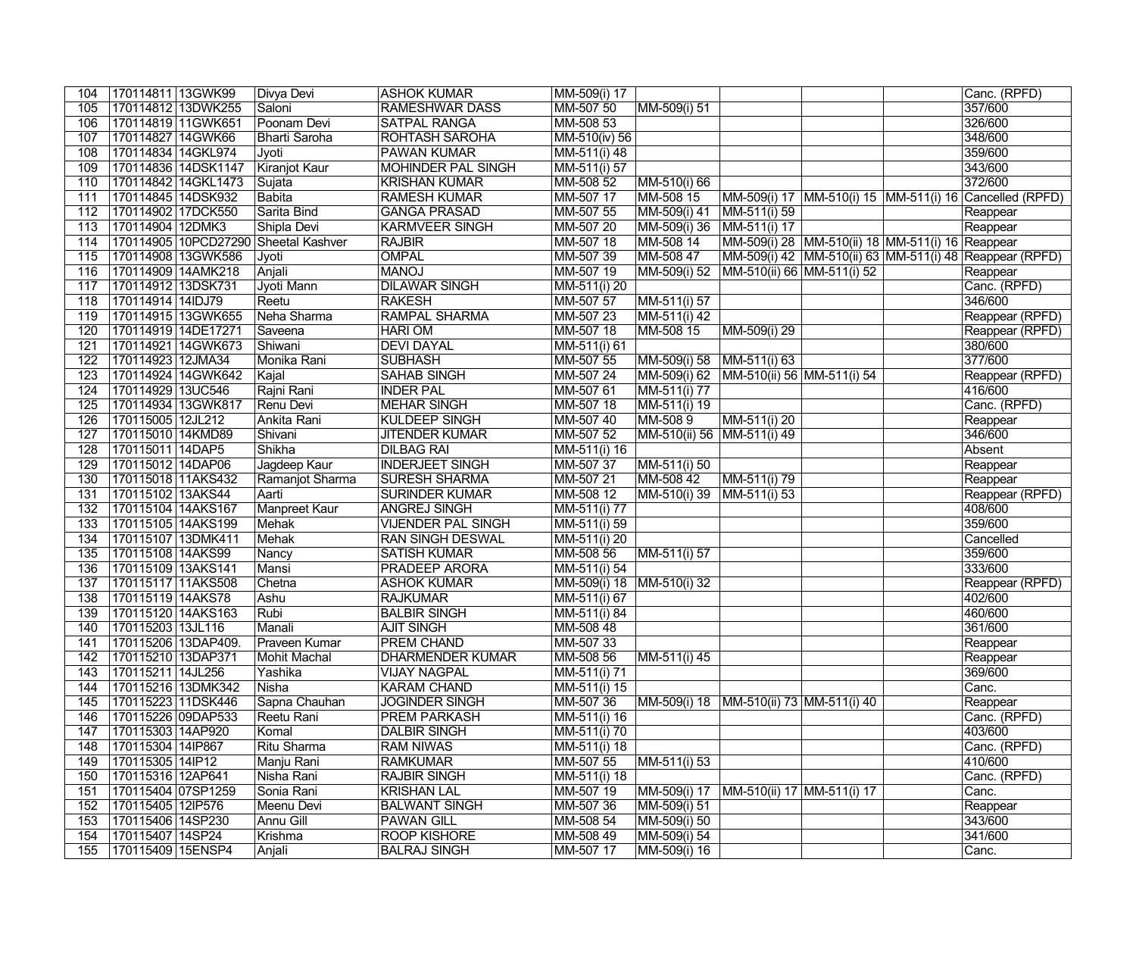| 104        | 170114811 13GWK99                     |                     | Divya Devi                           | ASHOK KUMAR                                | MM-509(i) 17              |                                             |                                                  |  | Canc. (RPFD)                                            |
|------------|---------------------------------------|---------------------|--------------------------------------|--------------------------------------------|---------------------------|---------------------------------------------|--------------------------------------------------|--|---------------------------------------------------------|
| 105        |                                       | 170114812 13DWK255  | Saloni                               | <b>RAMESHWAR DASS</b>                      | MM-507 50                 | MM-509(i) 51                                |                                                  |  | 357/600                                                 |
| 106        | 170114819 11GWK651                    |                     | Poonam Devi                          | <b>SATPAL RANGA</b>                        | MM-508 53                 |                                             |                                                  |  | 326/600                                                 |
| 107        | 170114827 14GWK66                     |                     | Bharti Saroha                        | <b>ROHTASH SAROHA</b>                      | MM-510(iv) 56             |                                             |                                                  |  | 348/600                                                 |
| 108        | 170114834 14GKL974                    |                     | Jyoti                                | <b>PAWAN KUMAR</b>                         | MM-511(i) 48              |                                             |                                                  |  | 359/600                                                 |
| 109        |                                       | 170114836 14DSK1147 | Kiranjot Kaur                        | <b>MOHINDER PAL SINGH</b>                  | MM-511(i) 57              |                                             |                                                  |  | 343/600                                                 |
| 110        |                                       | 170114842 14GKL1473 | Sujata                               | <b>KRISHAN KUMAR</b>                       | MM-508 52                 | MM-510(i) 66                                |                                                  |  | 372/600                                                 |
| 111        | 170114845 14DSK932                    |                     | Babita                               | <b>RAMESH KUMAR</b>                        | MM-507 17                 | MM-508 15                                   |                                                  |  | MM-509(i) 17 MM-510(i) 15 MM-511(i) 16 Cancelled (RPFD) |
| 112        | 170114902 17DCK550                    |                     | Sarita Bind                          | <b>GANGA PRASAD</b>                        | MM-507 55                 | MM-509(i) 41                                | MM-511(i) 59                                     |  | Reappear                                                |
| 113        | 170114904 12DMK3                      |                     | Shipla Devi                          | <b>KARMVEER SINGH</b>                      | MM-507 20                 | $ MM-509(i) 36  MM-511(i) 17$               |                                                  |  | Reappear                                                |
| 114        |                                       |                     | 170114905 10PCD27290 Sheetal Kashver | <b>RAJBIR</b>                              | MM-507 18                 | MM-508 14                                   | MM-509(i) 28 MM-510(ii) 18 MM-511(i) 16 Reappear |  |                                                         |
| 115        |                                       | 170114908 13GWK586  | Jyoti                                | <b>OMPAL</b>                               | MM-507 39                 | MM-508 47                                   |                                                  |  | MM-509(i) 42 MM-510(ii) 63 MM-511(i) 48 Reappear (RPFD) |
| 116        | 170114909   14AMK218                  |                     | Anjali                               | <b>MANOJ</b>                               | MM-507 19                 | MM-509(i) 52                                | MM-510(ii) 66 MM-511(i) 52                       |  | Reappear                                                |
| 117        | 170114912 13DSK731                    |                     | Jyoti Mann                           | <b>DILAWAR SINGH</b>                       | MM-511(i) 20              |                                             |                                                  |  | Canc. (RPFD)                                            |
| 118        | 170114914 14IDJ79                     |                     | Reetu                                | <b>RAKESH</b>                              | MM-507 57                 | MM-511(i) 57                                |                                                  |  | 346/600                                                 |
| 119        |                                       | 170114915 13GWK655  | Neha Sharma                          | <b>RAMPAL SHARMA</b>                       | MM-507 23                 | MM-511(i) 42                                |                                                  |  | Reappear (RPFD)                                         |
| 120        | 170114919 14DE17271                   |                     | Saveena                              | <b>HARI OM</b>                             | MM-507 18                 | MM-508 15                                   | MM-509(i) 29                                     |  | Reappear (RPFD)                                         |
| 121        |                                       | 170114921 14GWK673  | Shiwani                              | <b>DEVI DAYAL</b>                          | MM-511(i) 61              |                                             |                                                  |  | 380/600                                                 |
| 122        | 170114923 12JMA34                     |                     | Monika Rani                          | <b>SUBHASH</b>                             | MM-507 55                 | MM-509(i) 58 MM-511(i) 63                   |                                                  |  | 377/600                                                 |
| 123        |                                       | 170114924 14GWK642  | Kajal                                | <b>SAHAB SINGH</b>                         | MM-507 24                 | MM-509(i) 62   MM-510(ii) 56   MM-511(i) 54 |                                                  |  | Reappear (RPFD)                                         |
| 124        | 170114929 13UC546                     |                     | Rajni Rani                           | <b>INDER PAL</b>                           | MM-507 61                 | MM-511(i) 77                                |                                                  |  | 416/600                                                 |
| 125        |                                       | 170114934 13GWK817  | Renu Devi                            | <b>MEHAR SINGH</b>                         | MM-507 18                 | MM-511(i) 19                                |                                                  |  | Canc. (RPFD)                                            |
| 126        | 170115005 12JL212                     |                     | Ankita Rani                          | <b>KULDEEP SINGH</b>                       | MM-507 40                 | MM-5089                                     | MM-511(i) 20                                     |  | Reappear                                                |
| 127        | 170115010 14KMD89                     |                     | Shivani                              | <b>JITENDER KUMAR</b>                      | MM-507 52                 | MM-510(ii) 56 MM-511(i) 49                  |                                                  |  | 346/600                                                 |
| 128        | 170115011 14DAP5                      |                     | Shikha                               | <b>DILBAG RAI</b>                          | MM-511(i) 16              |                                             |                                                  |  | Absent                                                  |
| 129        | 170115012 14DAP06                     |                     | Jagdeep Kaur                         | <b>INDERJEET SINGH</b>                     | MM-507 37                 | $\sqrt{\text{IMM-51}}$ 1(i) 50              |                                                  |  | Reappear                                                |
| 130        | 170115018 11AKS432                    |                     | Ramanjot Sharma                      | <b>SURESH SHARMA</b>                       | MM-507 21                 | MM-508 42                                   | MM-511(i) 79                                     |  | Reappear                                                |
| 131        | 170115102 13AKS44                     |                     | Aarti                                | <b>SURINDER KUMAR</b>                      | MM-508 12                 | MM-510(i) 39                                | MM-511(i) 53                                     |  | Reappear (RPFD)                                         |
| 132        | 170115104 14AKS167                    |                     | Manpreet Kaur                        | <b>ANGREJ SINGH</b>                        | MM-511(i) 77              |                                             |                                                  |  | 408/600                                                 |
| 133        | 170115105 14AKS199                    |                     | Mehak                                | <b>VIJENDER PAL SINGH</b>                  | MM-511(i) 59              |                                             |                                                  |  | 359/600                                                 |
| 134        | 170115107 13DMK411                    |                     | Mehak                                | <b>RAN SINGH DESWAL</b>                    | MM-511(i) 20              |                                             |                                                  |  | Cancelled                                               |
| 135        | 170115108 14AKS99                     |                     | Nancy                                | <b>SATISH KUMAR</b>                        | MM-508 56                 | MM-511(i) 57                                |                                                  |  | 359/600                                                 |
| 136        | 170115109 13AKS141                    |                     | Mansi                                | <b>PRADEEP ARORA</b>                       | MM-511(i) 54              |                                             |                                                  |  | 333/600                                                 |
| 137        | 170115117 11AKS508                    |                     | Chetna                               | <b>ASHOK KUMAR</b>                         | MM-509(i) 18 MM-510(i) 32 |                                             |                                                  |  | Reappear (RPFD)                                         |
| 138        | 170115119 14AKS78                     |                     | Ashu                                 | <b>RAJKUMAR</b>                            | MM-511(i) 67              |                                             |                                                  |  | 402/600                                                 |
| 139        | 170115120 14AKS163                    |                     | Rubi                                 | <b>BALBIR SINGH</b>                        | MM-511(i) 84              |                                             |                                                  |  | 460/600                                                 |
|            | 140 170115203 13JL116                 |                     | Manali                               | <b>AJIT SINGH</b>                          | MM-508 48                 |                                             |                                                  |  | 361/600                                                 |
| 141        | 170115206 13DAP409.                   |                     | Praveen Kumar                        | PREM CHAND                                 | MM-507 33                 |                                             |                                                  |  | Reappear                                                |
| 142        | 170115210 13DAP371                    |                     | Mohit Machal                         | <b>DHARMENDER KUMAR</b>                    | MM-508 56                 | MM-511(i) 45                                |                                                  |  | Reappear                                                |
| 143        | 170115211 14JL256                     |                     | Yashika                              | <b>VIJAY NAGPAL</b>                        | MM-511(i) 71              |                                             |                                                  |  | 369/600                                                 |
| 144        | 170115216 13DMK342                    |                     | Nisha                                | <b>KARAM CHAND</b>                         | MM-511(i) 15              |                                             |                                                  |  | Canc.                                                   |
| 145        | 170115223 11DSK446                    |                     | Sapna Chauhan                        | <b>JOGINDER SINGH</b>                      | MM-507 36                 | MM-509(i) 18                                | MM-510(ii) 73 MM-511(i) 40                       |  | Reappear                                                |
| 146        | 170115226 09DAP533                    |                     | Reetu Rani                           | PREM PARKASH                               | MM-511(i) 16              |                                             |                                                  |  | Canc. (RPFD)                                            |
| 147        | 170115303   14AP920                   |                     | Komal                                | <b>DALBIR SINGH</b>                        | MM-511(i) 70              |                                             |                                                  |  | 403/600                                                 |
| 148        | 170115304 14IP867                     |                     | Ritu Sharma                          | <b>RAM NIWAS</b>                           | MM-511(i) 18              |                                             |                                                  |  | Canc. (RPFD)                                            |
| 149        | 170115305 14IP12                      |                     | Manju Rani                           | <b>RAMKUMAR</b>                            | MM-507 55                 | MM-511(i) 53                                |                                                  |  | 410/600                                                 |
| 150        | 170115316 12AP641                     |                     | Nisha Rani                           | <b>RAJBIR SINGH</b>                        | $M - 51(1) 18$            |                                             |                                                  |  | Canc. (RPFD)                                            |
| 151        |                                       | 170115404 07SP1259  | Sonia Rani                           | <b>KRISHAN LAL</b>                         | MM-507 19                 | MM-509(i) 17                                | MM-510(ii) 17 MM-511(i) 17                       |  | Canc.                                                   |
| 152        |                                       |                     |                                      |                                            |                           |                                             |                                                  |  |                                                         |
|            |                                       |                     |                                      |                                            |                           |                                             |                                                  |  |                                                         |
|            | 170115405 12IP576                     |                     | Meenu Devi                           | <b>BALWANT SINGH</b>                       | MM-507 36                 | MM-509(i) 51                                |                                                  |  | Reappear                                                |
| 153        | 170115406 14SP230                     |                     | Annu Gill                            | <b>PAWAN GILL</b>                          | MM-508 54                 | MM-509(i) 50                                |                                                  |  | 343/600                                                 |
| 154<br>155 | 170115407 14SP24<br>170115409 15ENSP4 |                     | Krishma<br>Anjali                    | <b>ROOP KISHORE</b><br><b>BALRAJ SINGH</b> | MM-508 49<br>MM-507 17    | MM-509(i) 54<br>MM-509(i) 16                |                                                  |  | 341/600<br>Canc.                                        |